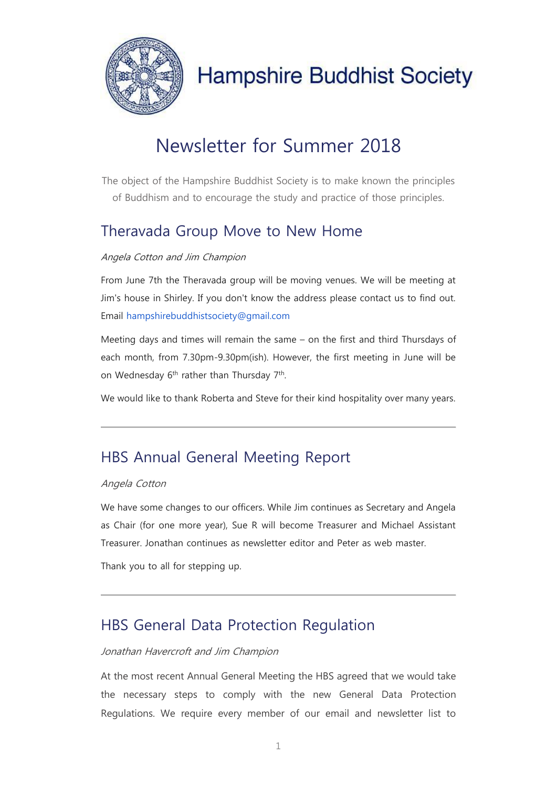

## Newsletter for Summer 2018

The object of the Hampshire Buddhist Society is to make known the principles of Buddhism and to encourage the study and practice of those principles.

## Theravada Group Move to New Home

#### Angela Cotton and Jim Champion

From June 7th the Theravada group will be moving venues. We will be meeting at Jim's house in Shirley. If you don't know the address please contact us to find out. Email hampshirebuddhistsociety@gmail.com

Meeting days and times will remain the same – on the first and third Thursdays of each month, from 7.30pm-9.30pm(ish). However, the first meeting in June will be on Wednesday 6<sup>th</sup> rather than Thursday 7<sup>th</sup>.

We would like to thank Roberta and Steve for their kind hospitality over many years.

## HBS Annual General Meeting Report

#### Angela Cotton

We have some changes to our officers. While Jim continues as Secretary and Angela as Chair (for one more year), Sue R will become Treasurer and Michael Assistant Treasurer. Jonathan continues as newsletter editor and Peter as web master.

Thank you to all for stepping up.

### HBS General Data Protection Regulation

#### Jonathan Havercroft and Jim Champion

At the most recent Annual General Meeting the HBS agreed that we would take the necessary steps to comply with the new General Data Protection Regulations. We require every member of our email and newsletter list to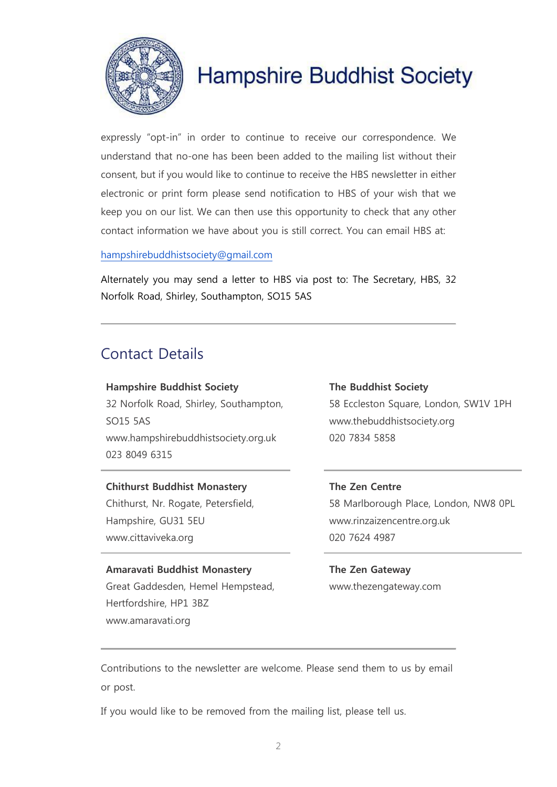

expressly "opt-in" in order to continue to receive our correspondence. We understand that no-one has been been added to the mailing list without their consent, but if you would like to continue to receive the HBS newsletter in either electronic or print form please send notification to HBS of your wish that we keep you on our list. We can then use this opportunity to check that any other contact information we have about you is still correct. You can email HBS at:

[hampshirebuddhistsociety@gmail.com](mailto:hampshirebuddhistsociety@gmail.com)

Alternately you may send a letter to HBS via post to: The Secretary, HBS, 32 Norfolk Road, Shirley, Southampton, SO15 5AS

### Contact Details

**Hampshire Buddhist Society** 32 Norfolk Road, Shirley, Southampton, SO15 5AS www.hampshirebuddhistsociety.org.uk 023 8049 6315

### **Chithurst Buddhist Monastery** Chithurst, Nr. Rogate, Petersfield,

Hampshire, GU31 5EU www.cittaviveka.org

#### **Amaravati Buddhist Monastery**

Great Gaddesden, Hemel Hempstead, Hertfordshire, HP1 3BZ www.amaravati.org

#### **The Buddhist Society**

58 Eccleston Square, London, SW1V 1PH www.thebuddhistsociety.org 020 7834 5858

#### **The Zen Centre**

58 Marlborough Place, London, NW8 0PL www.rinzaizencentre.org.uk 020 7624 4987

**The Zen Gateway** www.thezengateway.com

Contributions to the newsletter are welcome. Please send them to us by email or post.

If you would like to be removed from the mailing list, please tell us.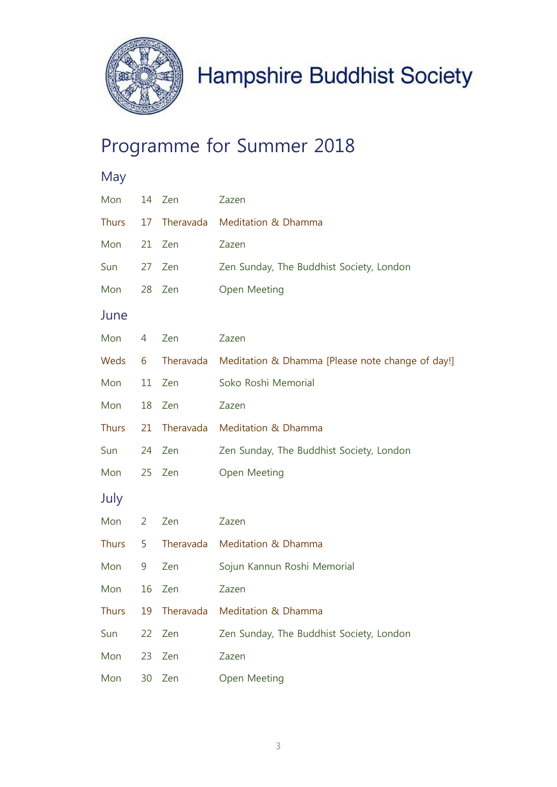

## Programme for Summer 2018

| May          |                |           |                                                            |
|--------------|----------------|-----------|------------------------------------------------------------|
| Mon          | 14             | Zen       | Zazen                                                      |
| <b>Thurs</b> | 17             |           | Theravada Meditation & Dhamma                              |
| Mon          | 21             | Zen       | Zazen                                                      |
| Sun          | 27             | Zen       | Zen Sunday, The Buddhist Society, London                   |
| Mon          | 28             | Zen       | Open Meeting                                               |
| June         |                |           |                                                            |
| Mon          | 4              | Zen       | Zazen                                                      |
| Weds         | 6              |           | Theravada Meditation & Dhamma [Please note change of day!] |
| Mon          | 11             | Zen       | Soko Roshi Memorial                                        |
| Mon          | 18             | Zen       | Zazen                                                      |
| <b>Thurs</b> | 21             |           | Theravada Meditation & Dhamma                              |
| Sun          | 24             | Zen       | Zen Sunday, The Buddhist Society, London                   |
| Mon          | 25             | Zen       | Open Meeting                                               |
| July         |                |           |                                                            |
| Mon          | $\overline{2}$ | Zen       | Zazen                                                      |
| Thurs        | 5              |           | Theravada Meditation & Dhamma                              |
| Mon          | 9              | Zen       | Sojun Kannun Roshi Memorial                                |
| Mon          | 16             | Zen       | Zazen                                                      |
| <b>Thurs</b> | 19             | Theravada | Meditation & Dhamma                                        |
| Sun          | 22             | Zen       | Zen Sunday, The Buddhist Society, London                   |
| Mon          | 23             | Zen       | Zazen                                                      |
| Mon          | 30             | Zen       | Open Meeting                                               |